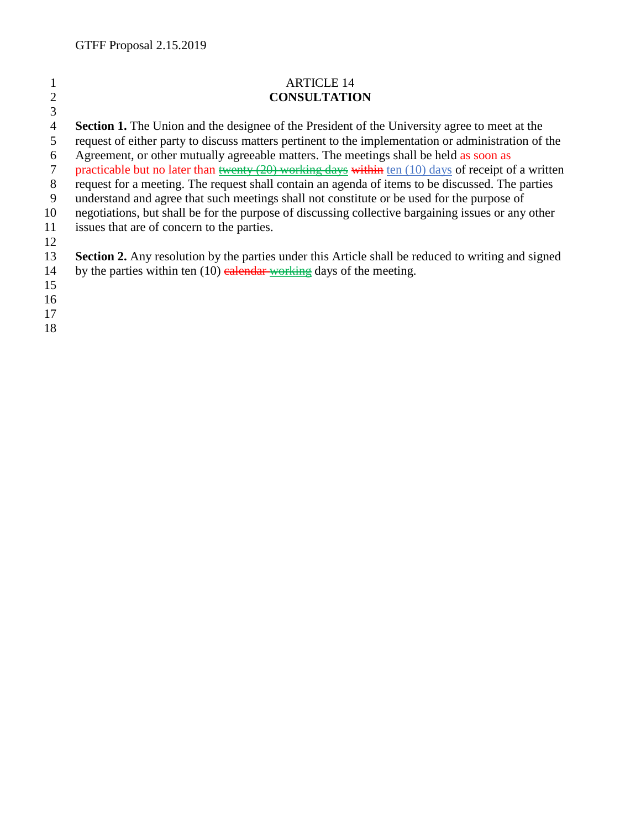| $\overline{2}$ | <b>ARTICLE 14</b><br><b>CONSULTATION</b>                                                                                              |
|----------------|---------------------------------------------------------------------------------------------------------------------------------------|
| 3              | <b>Section 1.</b> The Union and the designee of the President of the University agree to meet at the                                  |
| 4<br>5         | request of either party to discuss matters pertinent to the implementation or administration of the                                   |
| 6              | Agreement, or other mutually agreeable matters. The meetings shall be held as soon as                                                 |
| 7              | practicable but no later than $\frac{t^2(20) \text{ working days} \text{ within } \tan(10) \text{ days}}{20}$ of receipt of a written |
| 8              | request for a meeting. The request shall contain an agenda of items to be discussed. The parties                                      |
| 9              | understand and agree that such meetings shall not constitute or be used for the purpose of                                            |
| 10             | negotiations, but shall be for the purpose of discussing collective bargaining issues or any other                                    |
| 11             | issues that are of concern to the parties.                                                                                            |
| 12             |                                                                                                                                       |
| 13             | <b>Section 2.</b> Any resolution by the parties under this Article shall be reduced to writing and signed                             |
| 14             | by the parties within ten $(10)$ calendar working days of the meeting.                                                                |
| 15             |                                                                                                                                       |
| 16             |                                                                                                                                       |
| 17             |                                                                                                                                       |
| 18             |                                                                                                                                       |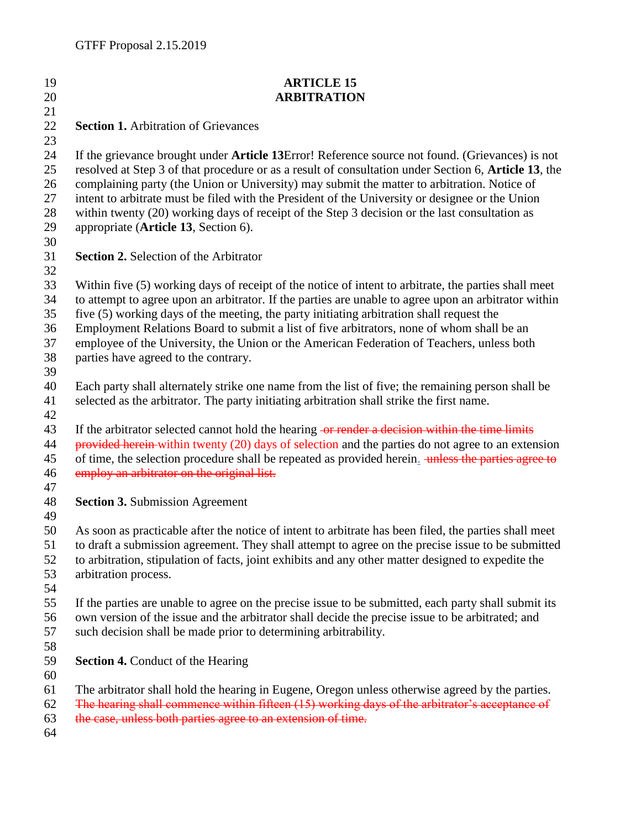| 19 | <b>ARTICLE 15</b>                                                                                     |
|----|-------------------------------------------------------------------------------------------------------|
| 20 | <b>ARBITRATION</b>                                                                                    |
| 21 |                                                                                                       |
| 22 | <b>Section 1.</b> Arbitration of Grievances                                                           |
| 23 |                                                                                                       |
| 24 | If the grievance brought under Article 13Error! Reference source not found. (Grievances) is not       |
| 25 | resolved at Step 3 of that procedure or as a result of consultation under Section 6, Article 13, the  |
| 26 | complaining party (the Union or University) may submit the matter to arbitration. Notice of           |
| 27 | intent to arbitrate must be filed with the President of the University or designee or the Union       |
| 28 | within twenty (20) working days of receipt of the Step 3 decision or the last consultation as         |
| 29 | appropriate (Article 13, Section 6).                                                                  |
| 30 |                                                                                                       |
| 31 | <b>Section 2. Selection of the Arbitrator</b>                                                         |
| 32 |                                                                                                       |
| 33 | Within five (5) working days of receipt of the notice of intent to arbitrate, the parties shall meet  |
| 34 | to attempt to agree upon an arbitrator. If the parties are unable to agree upon an arbitrator within  |
| 35 | five (5) working days of the meeting, the party initiating arbitration shall request the              |
| 36 | Employment Relations Board to submit a list of five arbitrators, none of whom shall be an             |
| 37 | employee of the University, the Union or the American Federation of Teachers, unless both             |
| 38 | parties have agreed to the contrary.                                                                  |
| 39 |                                                                                                       |
| 40 | Each party shall alternately strike one name from the list of five; the remaining person shall be     |
| 41 | selected as the arbitrator. The party initiating arbitration shall strike the first name.             |
| 42 |                                                                                                       |
| 43 | If the arbitrator selected cannot hold the hearing -or render a decision within the time limits       |
| 44 | provided herein-within twenty $(20)$ days of selection and the parties do not agree to an extension   |
| 45 | of time, the selection procedure shall be repeated as provided herein. unless the parties agree to    |
| 46 | employ an arbitrator on the original list.                                                            |
| 47 |                                                                                                       |
| 48 | <b>Section 3. Submission Agreement</b>                                                                |
| 49 |                                                                                                       |
| 50 | As soon as practicable after the notice of intent to arbitrate has been filed, the parties shall meet |
| 51 | to draft a submission agreement. They shall attempt to agree on the precise issue to be submitted     |
| 52 | to arbitration, stipulation of facts, joint exhibits and any other matter designed to expedite the    |
| 53 | arbitration process.                                                                                  |
| 54 |                                                                                                       |
| 55 | If the parties are unable to agree on the precise issue to be submitted, each party shall submit its  |
| 56 | own version of the issue and the arbitrator shall decide the precise issue to be arbitrated; and      |
| 57 | such decision shall be made prior to determining arbitrability.                                       |
| 58 |                                                                                                       |
| 59 | <b>Section 4.</b> Conduct of the Hearing                                                              |
| 60 |                                                                                                       |
| 61 | The arbitrator shall hold the hearing in Eugene, Oregon unless otherwise agreed by the parties.       |
| 62 | The hearing shall commence within fifteen (15) working days of the arbitrator's acceptance of         |
| 63 | the case, unless both parties agree to an extension of time.                                          |
| 64 |                                                                                                       |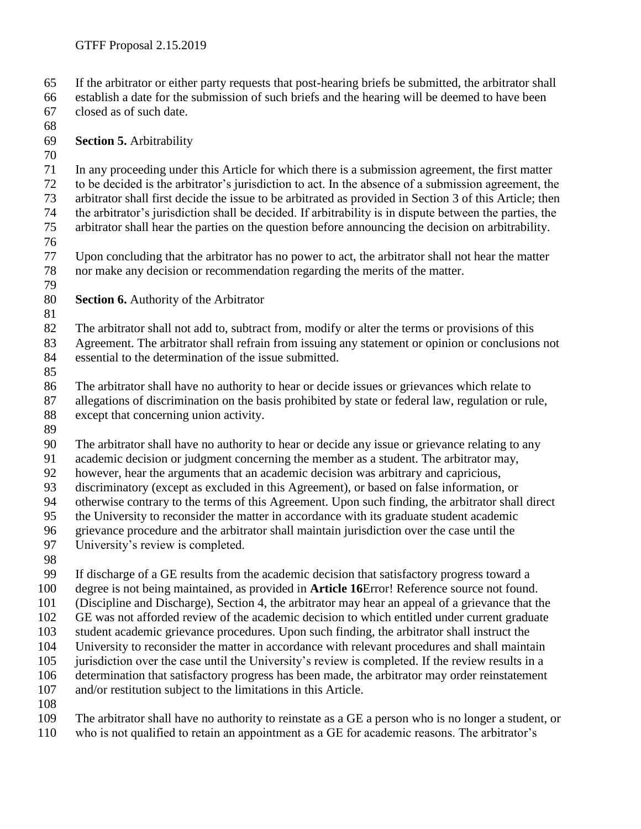If the arbitrator or either party requests that post-hearing briefs be submitted, the arbitrator shall

 establish a date for the submission of such briefs and the hearing will be deemed to have been closed as of such date.

**Section 5.** Arbitrability

 In any proceeding under this Article for which there is a submission agreement, the first matter to be decided is the arbitrator's jurisdiction to act. In the absence of a submission agreement, the arbitrator shall first decide the issue to be arbitrated as provided in Section 3 of this Article; then

 the arbitrator's jurisdiction shall be decided. If arbitrability is in dispute between the parties, the arbitrator shall hear the parties on the question before announcing the decision on arbitrability.

 Upon concluding that the arbitrator has no power to act, the arbitrator shall not hear the matter nor make any decision or recommendation regarding the merits of the matter.

**Section 6.** Authority of the Arbitrator

 The arbitrator shall not add to, subtract from, modify or alter the terms or provisions of this Agreement. The arbitrator shall refrain from issuing any statement or opinion or conclusions not essential to the determination of the issue submitted.

 The arbitrator shall have no authority to hear or decide issues or grievances which relate to allegations of discrimination on the basis prohibited by state or federal law, regulation or rule, except that concerning union activity.

The arbitrator shall have no authority to hear or decide any issue or grievance relating to any

academic decision or judgment concerning the member as a student. The arbitrator may,

however, hear the arguments that an academic decision was arbitrary and capricious,

discriminatory (except as excluded in this Agreement), or based on false information, or

otherwise contrary to the terms of this Agreement. Upon such finding, the arbitrator shall direct

the University to reconsider the matter in accordance with its graduate student academic

grievance procedure and the arbitrator shall maintain jurisdiction over the case until the

University's review is completed.

If discharge of a GE results from the academic decision that satisfactory progress toward a

degree is not being maintained, as provided in **Article 16**Error! Reference source not found.

(Discipline and Discharge), Section 4, the arbitrator may hear an appeal of a grievance that the

GE was not afforded review of the academic decision to which entitled under current graduate

student academic grievance procedures. Upon such finding, the arbitrator shall instruct the

University to reconsider the matter in accordance with relevant procedures and shall maintain

jurisdiction over the case until the University's review is completed. If the review results in a

determination that satisfactory progress has been made, the arbitrator may order reinstatement

and/or restitution subject to the limitations in this Article.

The arbitrator shall have no authority to reinstate as a GE a person who is no longer a student, or

who is not qualified to retain an appointment as a GE for academic reasons. The arbitrator's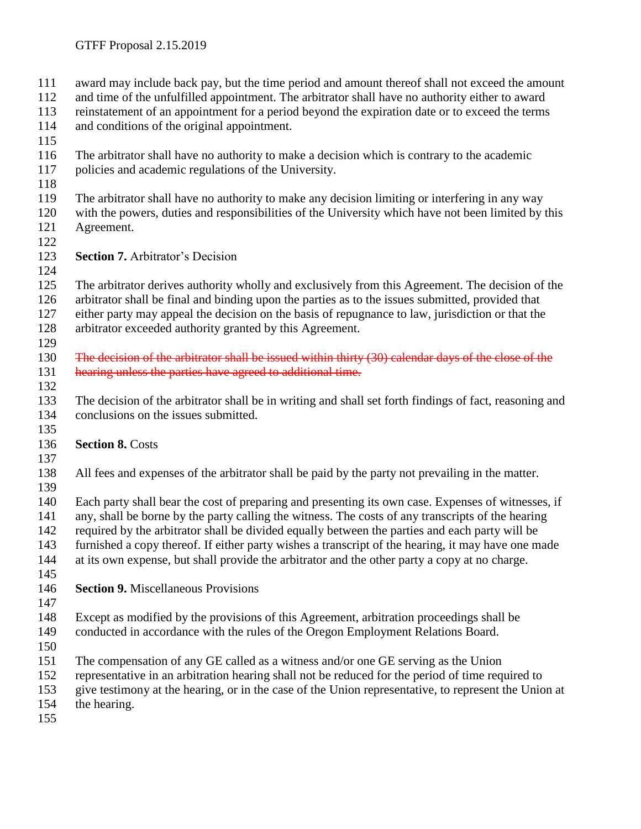award may include back pay, but the time period and amount thereof shall not exceed the amount and time of the unfulfilled appointment. The arbitrator shall have no authority either to award reinstatement of an appointment for a period beyond the expiration date or to exceed the terms and conditions of the original appointment. The arbitrator shall have no authority to make a decision which is contrary to the academic policies and academic regulations of the University. The arbitrator shall have no authority to make any decision limiting or interfering in any way with the powers, duties and responsibilities of the University which have not been limited by this Agreement. **Section 7.** Arbitrator's Decision The arbitrator derives authority wholly and exclusively from this Agreement. The decision of the arbitrator shall be final and binding upon the parties as to the issues submitted, provided that either party may appeal the decision on the basis of repugnance to law, jurisdiction or that the arbitrator exceeded authority granted by this Agreement. The decision of the arbitrator shall be issued within thirty (30) calendar days of the close of the 131 hearing unless the parties have agreed to additional time. The decision of the arbitrator shall be in writing and shall set forth findings of fact, reasoning and conclusions on the issues submitted. **Section 8.** Costs All fees and expenses of the arbitrator shall be paid by the party not prevailing in the matter. Each party shall bear the cost of preparing and presenting its own case. Expenses of witnesses, if any, shall be borne by the party calling the witness. The costs of any transcripts of the hearing required by the arbitrator shall be divided equally between the parties and each party will be furnished a copy thereof. If either party wishes a transcript of the hearing, it may have one made at its own expense, but shall provide the arbitrator and the other party a copy at no charge. **Section 9.** Miscellaneous Provisions Except as modified by the provisions of this Agreement, arbitration proceedings shall be conducted in accordance with the rules of the Oregon Employment Relations Board. The compensation of any GE called as a witness and/or one GE serving as the Union representative in an arbitration hearing shall not be reduced for the period of time required to give testimony at the hearing, or in the case of the Union representative, to represent the Union at the hearing.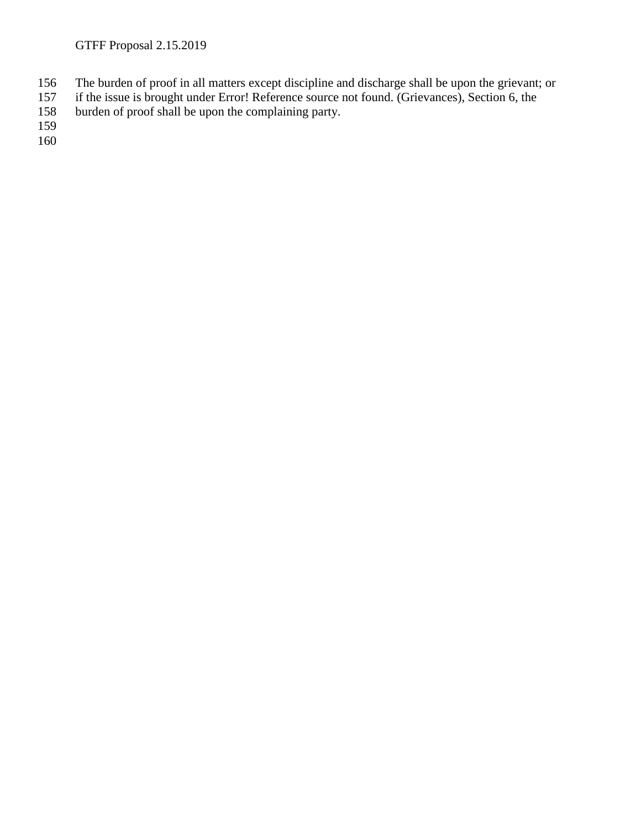- 156 The burden of proof in all matters except discipline and discharge shall be upon the grievant; or if the issue is brought under Error! Reference source not found. (Grievances), Section 6, the
- 157 if the issue is brought under Error! Reference source not found. (Grievances), Section 6, the burden of proof shall be upon the complaining party.
- burden of proof shall be upon the complaining party.

159

160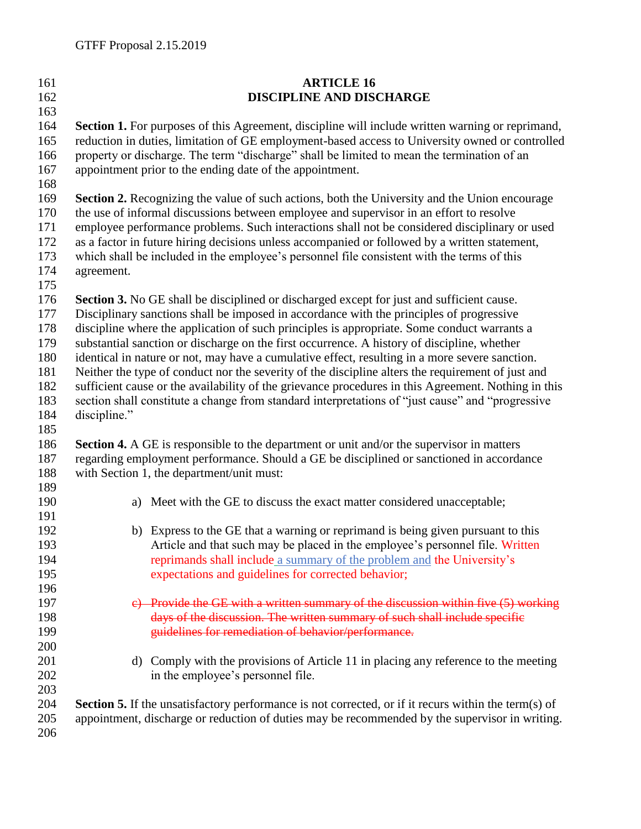| 161 | <b>ARTICLE 16</b>                                                                                           |  |  |
|-----|-------------------------------------------------------------------------------------------------------------|--|--|
| 162 | DISCIPLINE AND DISCHARGE                                                                                    |  |  |
| 163 |                                                                                                             |  |  |
| 164 | Section 1. For purposes of this Agreement, discipline will include written warning or reprimand,            |  |  |
| 165 | reduction in duties, limitation of GE employment-based access to University owned or controlled             |  |  |
| 166 | property or discharge. The term "discharge" shall be limited to mean the termination of an                  |  |  |
| 167 | appointment prior to the ending date of the appointment.                                                    |  |  |
| 168 |                                                                                                             |  |  |
| 169 | Section 2. Recognizing the value of such actions, both the University and the Union encourage               |  |  |
| 170 | the use of informal discussions between employee and supervisor in an effort to resolve                     |  |  |
| 171 | employee performance problems. Such interactions shall not be considered disciplinary or used               |  |  |
| 172 | as a factor in future hiring decisions unless accompanied or followed by a written statement,               |  |  |
| 173 | which shall be included in the employee's personnel file consistent with the terms of this                  |  |  |
| 174 | agreement.                                                                                                  |  |  |
| 175 |                                                                                                             |  |  |
| 176 | Section 3. No GE shall be disciplined or discharged except for just and sufficient cause.                   |  |  |
| 177 | Disciplinary sanctions shall be imposed in accordance with the principles of progressive                    |  |  |
| 178 | discipline where the application of such principles is appropriate. Some conduct warrants a                 |  |  |
| 179 | substantial sanction or discharge on the first occurrence. A history of discipline, whether                 |  |  |
| 180 | identical in nature or not, may have a cumulative effect, resulting in a more severe sanction.              |  |  |
| 181 | Neither the type of conduct nor the severity of the discipline alters the requirement of just and           |  |  |
| 182 | sufficient cause or the availability of the grievance procedures in this Agreement. Nothing in this         |  |  |
| 183 | section shall constitute a change from standard interpretations of "just cause" and "progressive            |  |  |
| 184 | discipline."                                                                                                |  |  |
| 185 |                                                                                                             |  |  |
| 186 | Section 4. A GE is responsible to the department or unit and/or the supervisor in matters                   |  |  |
| 187 | regarding employment performance. Should a GE be disciplined or sanctioned in accordance                    |  |  |
| 188 | with Section 1, the department/unit must:                                                                   |  |  |
| 189 |                                                                                                             |  |  |
| 190 | a) Meet with the GE to discuss the exact matter considered unacceptable;                                    |  |  |
| 191 |                                                                                                             |  |  |
| 192 | b) Express to the GE that a warning or reprimand is being given pursuant to this                            |  |  |
| 193 | Article and that such may be placed in the employee's personnel file. Written                               |  |  |
| 194 | reprimands shall include a summary of the problem and the University's                                      |  |  |
| 195 | expectations and guidelines for corrected behavior;                                                         |  |  |
| 196 |                                                                                                             |  |  |
| 197 | e) Provide the GE with a written summary of the discussion within five (5) working                          |  |  |
| 198 | days of the discussion. The written summary of such shall include specific                                  |  |  |
| 199 | guidelines for remediation of behavior/performance.                                                         |  |  |
| 200 |                                                                                                             |  |  |
| 201 | d) Comply with the provisions of Article 11 in placing any reference to the meeting                         |  |  |
| 202 | in the employee's personnel file.                                                                           |  |  |
| 203 |                                                                                                             |  |  |
| 204 | <b>Section 5.</b> If the unsatisfactory performance is not corrected, or if it recurs within the term(s) of |  |  |
| 205 | appointment, discharge or reduction of duties may be recommended by the supervisor in writing.              |  |  |
| 206 |                                                                                                             |  |  |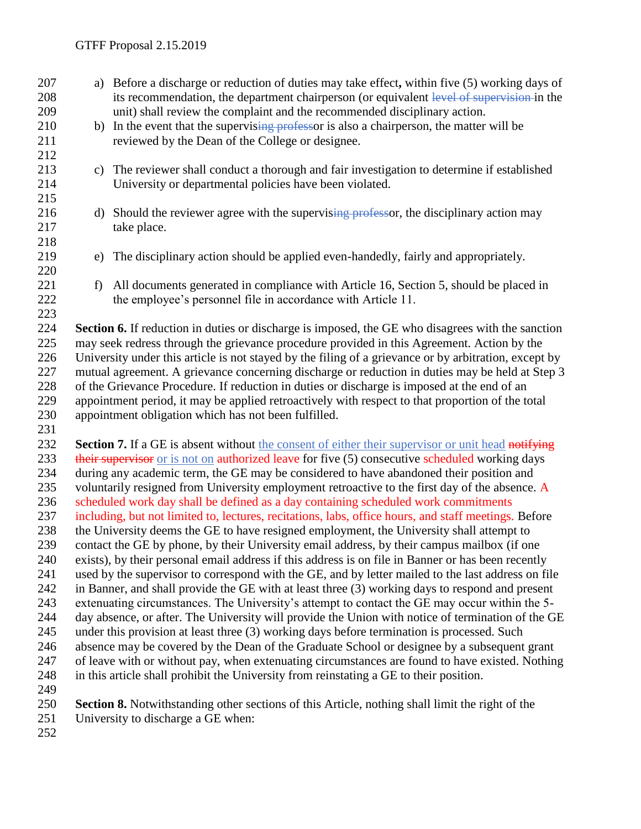- a) Before a discharge or reduction of duties may take effect**,** within five (5) working days of 208 its recommendation, the department chairperson (or equivalent level of supervision in the unit) shall review the complaint and the recommended disciplinary action. 210 b) In the event that the supervising professor is also a chairperson, the matter will be reviewed by the Dean of the College or designee. c) The reviewer shall conduct a thorough and fair investigation to determine if established University or departmental policies have been violated. 216 d) Should the reviewer agree with the supervising professor, the disciplinary action may take place. e) The disciplinary action should be applied even-handedly, fairly and appropriately. 221 f) All documents generated in compliance with Article 16, Section 5, should be placed in 222 the employee's personnel file in accordance with Article 11. **Section 6.** If reduction in duties or discharge is imposed, the GE who disagrees with the sanction may seek redress through the grievance procedure provided in this Agreement. Action by the University under this article is not stayed by the filing of a grievance or by arbitration, except by mutual agreement. A grievance concerning discharge or reduction in duties may be held at Step 3 of the Grievance Procedure. If reduction in duties or discharge is imposed at the end of an appointment period, it may be applied retroactively with respect to that proportion of the total appointment obligation which has not been fulfilled. **Section 7.** If a GE is absent without the consent of either their supervisor or unit head notifying 233 their supervisor or is not on authorized leave for five (5) consecutive scheduled working days during any academic term, the GE may be considered to have abandoned their position and
- 235 voluntarily resigned from University employment retroactive to the first day of the absence. A scheduled work day shall be defined as a day containing scheduled work commitments
- including, but not limited to, lectures, recitations, labs, office hours, and staff meetings. Before the University deems the GE to have resigned employment, the University shall attempt to
- contact the GE by phone, by their University email address, by their campus mailbox (if one
- exists), by their personal email address if this address is on file in Banner or has been recently
- used by the supervisor to correspond with the GE, and by letter mailed to the last address on file
- in Banner, and shall provide the GE with at least three (3) working days to respond and present extenuating circumstances. The University's attempt to contact the GE may occur within the 5-
- day absence, or after. The University will provide the Union with notice of termination of the GE
- under this provision at least three (3) working days before termination is processed. Such
- absence may be covered by the Dean of the Graduate School or designee by a subsequent grant of leave with or without pay, when extenuating circumstances are found to have existed. Nothing
- in this article shall prohibit the University from reinstating a GE to their position.
- 
- **Section 8.** Notwithstanding other sections of this Article, nothing shall limit the right of the
- University to discharge a GE when:
-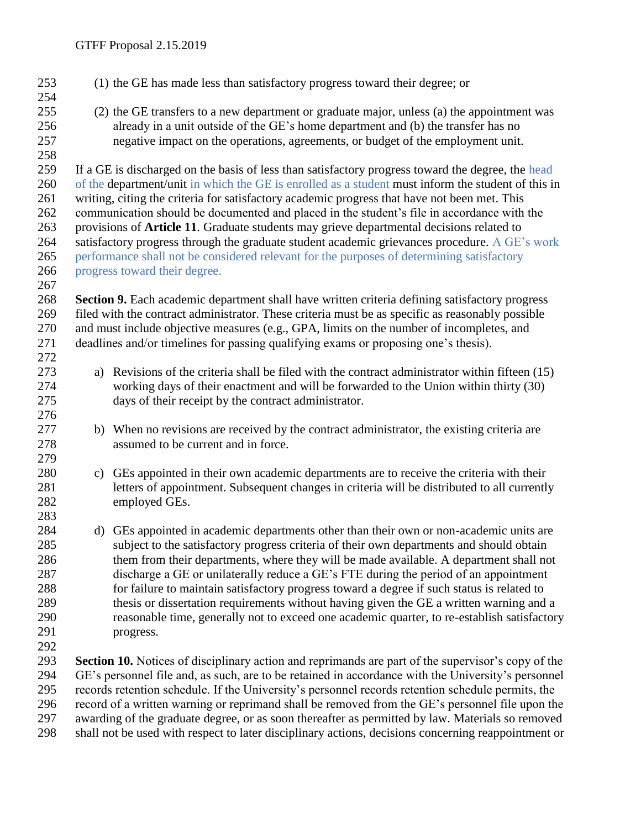- (1) the GE has made less than satisfactory progress toward their degree; or (2) the GE transfers to a new department or graduate major, unless (a) the appointment was already in a unit outside of the GE's home department and (b) the transfer has no negative impact on the operations, agreements, or budget of the employment unit. If a GE is discharged on the basis of less than satisfactory progress toward the degree, the head of the department/unit in which the GE is enrolled as a student must inform the student of this in writing, citing the criteria for satisfactory academic progress that have not been met. This communication should be documented and placed in the student's file in accordance with the provisions of **Article 11**. Graduate students may grieve departmental decisions related to 264 satisfactory progress through the graduate student academic grievances procedure. A GE's work performance shall not be considered relevant for the purposes of determining satisfactory progress toward their degree. **Section 9.** Each academic department shall have written criteria defining satisfactory progress filed with the contract administrator. These criteria must be as specific as reasonably possible and must include objective measures (e.g., GPA, limits on the number of incompletes, and deadlines and/or timelines for passing qualifying exams or proposing one's thesis). a) Revisions of the criteria shall be filed with the contract administrator within fifteen (15) working days of their enactment and will be forwarded to the Union within thirty (30) days of their receipt by the contract administrator. 277 b) When no revisions are received by the contract administrator, the existing criteria are assumed to be current and in force. c) GEs appointed in their own academic departments are to receive the criteria with their letters of appointment. Subsequent changes in criteria will be distributed to all currently employed GEs. d) GEs appointed in academic departments other than their own or non-academic units are subject to the satisfactory progress criteria of their own departments and should obtain 286 them from their departments, where they will be made available. A department shall not discharge a GE or unilaterally reduce a GE's FTE during the period of an appointment for failure to maintain satisfactory progress toward a degree if such status is related to 289 thesis or dissertation requirements without having given the GE a written warning and a reasonable time, generally not to exceed one academic quarter, to re-establish satisfactory progress. **Section 10.** Notices of disciplinary action and reprimands are part of the supervisor's copy of the GE's personnel file and, as such, are to be retained in accordance with the University's personnel
- records retention schedule. If the University's personnel records retention schedule permits, the record of a written warning or reprimand shall be removed from the GE's personnel file upon the
	- awarding of the graduate degree, or as soon thereafter as permitted by law. Materials so removed
	- shall not be used with respect to later disciplinary actions, decisions concerning reappointment or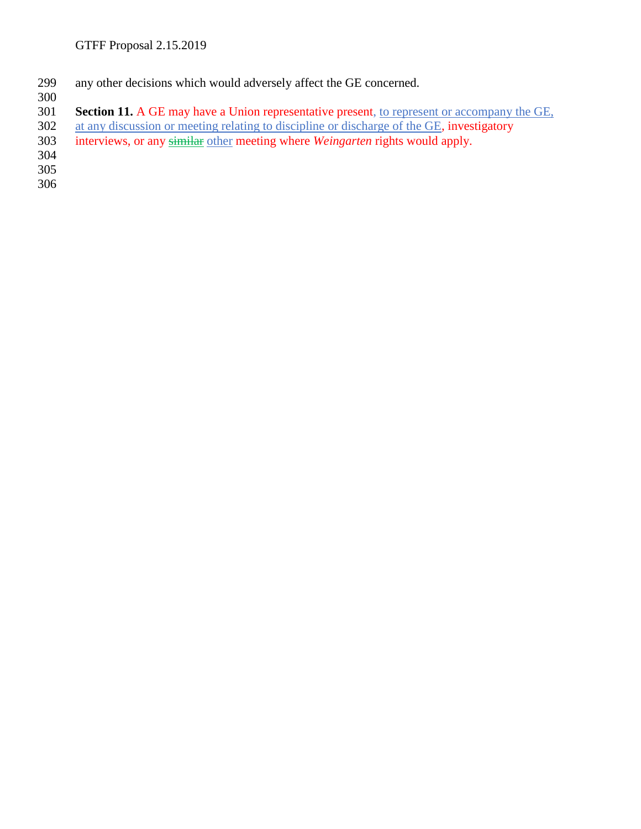- 299 any other decisions which would adversely affect the GE concerned.
- 300<br>301 **Section 11.** A GE may have a Union representative present, to represent or accompany the GE,
- 302 at any discussion or meeting relating to discipline or discharge of the GE, investigatory<br>303 interviews, or any similar other meeting where *Weingarten* rights would apply.
- interviews, or any similar other meeting where *Weingarten* rights would apply.
- 304
- 305
- 306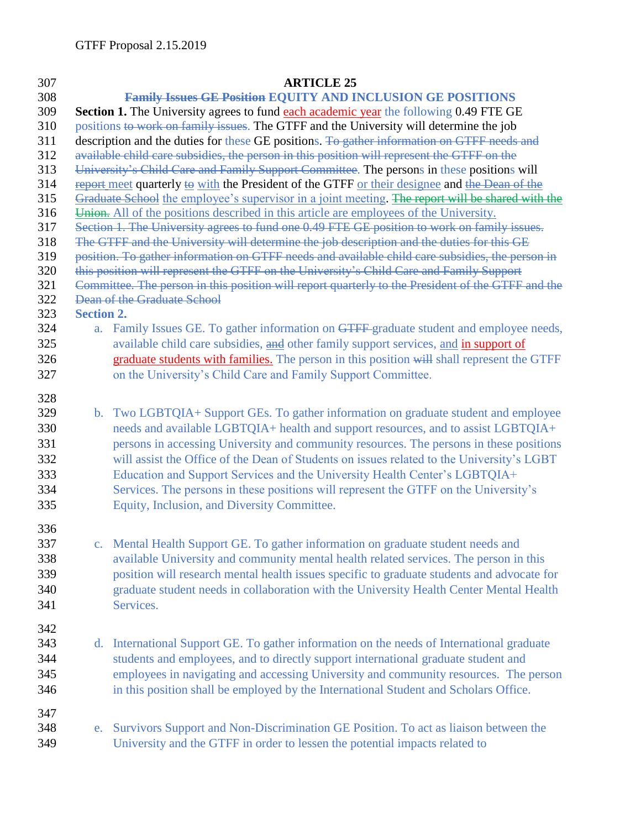## **ARTICLE 25 Family Issues GE Position EQUITY AND INCLUSION GE POSITIONS Section 1.** The University agrees to fund each academic year the following 0.49 FTE GE positions to work on family issues. The GTFF and the University will determine the job description and the duties for these GE positions. To gather information on GTFF needs and available child care subsidies, the person in this position will represent the GTFF on the University's Child Care and Family Support Committee. The persons in these positions will 314 report meet quarterly to with the President of the GTFF or their designee and the Dean of the Graduate School the employee's supervisor in a joint meeting. The report will be shared with the Union. All of the positions described in this article are employees of the University. Section 1. The University agrees to fund one 0.49 FTE GE position to work on family issues. The GTFF and the University will determine the job description and the duties for this GE position. To gather information on GTFF needs and available child care subsidies, the person in this position will represent the GTFF on the University's Child Care and Family Support Committee. The person in this position will report quarterly to the President of the GTFF and the Dean of the Graduate School **Section 2.** a. Family Issues GE. To gather information on GTFF graduate student and employee needs, 325 available child care subsidies, and other family support services, and in support of 326 graduate students with families. The person in this position will shall represent the GTFF on the University's Child Care and Family Support Committee. b. Two LGBTQIA+ Support GEs. To gather information on graduate student and employee needs and available LGBTQIA+ health and support resources, and to assist LGBTQIA+ persons in accessing University and community resources. The persons in these positions will assist the Office of the Dean of Students on issues related to the University's LGBT Education and Support Services and the University Health Center's LGBTQIA+ Services. The persons in these positions will represent the GTFF on the University's Equity, Inclusion, and Diversity Committee. c. Mental Health Support GE. To gather information on graduate student needs and available University and community mental health related services. The person in this position will research mental health issues specific to graduate students and advocate for graduate student needs in collaboration with the University Health Center Mental Health Services. d. International Support GE. To gather information on the needs of International graduate students and employees, and to directly support international graduate student and employees in navigating and accessing University and community resources. The person in this position shall be employed by the International Student and Scholars Office. e. Survivors Support and Non-Discrimination GE Position. To act as liaison between the University and the GTFF in order to lessen the potential impacts related to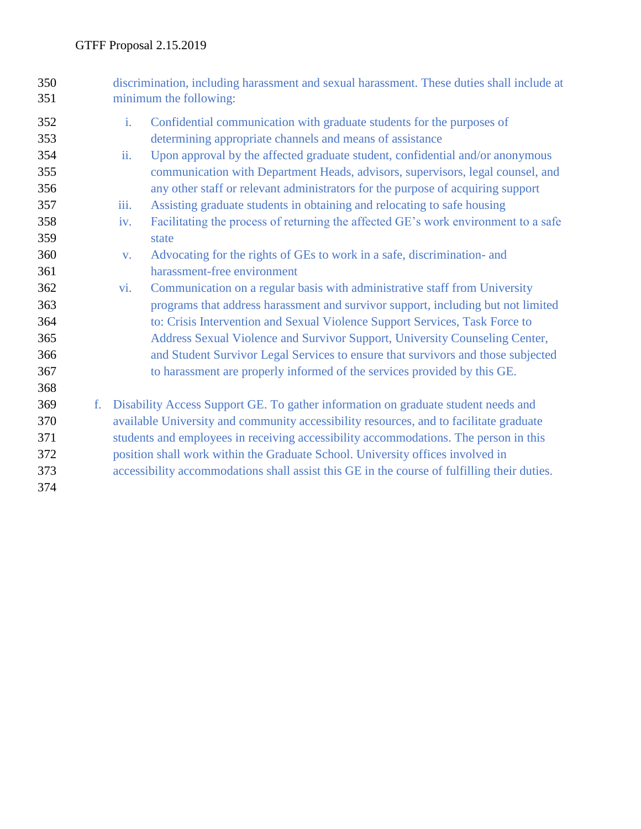| 350<br>351 | discrimination, including harassment and sexual harassment. These duties shall include at<br>minimum the following:                                                                                                                                                 |                                                                                             |  |  |
|------------|---------------------------------------------------------------------------------------------------------------------------------------------------------------------------------------------------------------------------------------------------------------------|---------------------------------------------------------------------------------------------|--|--|
| 352        | i.                                                                                                                                                                                                                                                                  | Confidential communication with graduate students for the purposes of                       |  |  |
| 353        |                                                                                                                                                                                                                                                                     | determining appropriate channels and means of assistance                                    |  |  |
| 354        | ii.                                                                                                                                                                                                                                                                 | Upon approval by the affected graduate student, confidential and/or anonymous               |  |  |
| 355        |                                                                                                                                                                                                                                                                     | communication with Department Heads, advisors, supervisors, legal counsel, and              |  |  |
| 356        |                                                                                                                                                                                                                                                                     | any other staff or relevant administrators for the purpose of acquiring support             |  |  |
| 357        | iіi.                                                                                                                                                                                                                                                                | Assisting graduate students in obtaining and relocating to safe housing                     |  |  |
| 358        | iv.                                                                                                                                                                                                                                                                 | Facilitating the process of returning the affected GE's work environment to a safe          |  |  |
| 359        |                                                                                                                                                                                                                                                                     | state                                                                                       |  |  |
| 360        | V.                                                                                                                                                                                                                                                                  | Advocating for the rights of GEs to work in a safe, discrimination- and                     |  |  |
| 361        |                                                                                                                                                                                                                                                                     | harassment-free environment                                                                 |  |  |
| 362        | $\overline{\mathbf{vi}}$ .                                                                                                                                                                                                                                          | Communication on a regular basis with administrative staff from University                  |  |  |
| 363        |                                                                                                                                                                                                                                                                     | programs that address harassment and survivor support, including but not limited            |  |  |
| 364        |                                                                                                                                                                                                                                                                     | to: Crisis Intervention and Sexual Violence Support Services, Task Force to                 |  |  |
| 365        |                                                                                                                                                                                                                                                                     | Address Sexual Violence and Survivor Support, University Counseling Center,                 |  |  |
| 366        |                                                                                                                                                                                                                                                                     | and Student Survivor Legal Services to ensure that survivors and those subjected            |  |  |
| 367        |                                                                                                                                                                                                                                                                     | to harassment are properly informed of the services provided by this GE.                    |  |  |
| 368        |                                                                                                                                                                                                                                                                     |                                                                                             |  |  |
| 369<br>f.  | Disability Access Support GE. To gather information on graduate student needs and<br>available University and community accessibility resources, and to facilitate graduate<br>students and employees in receiving accessibility accommodations. The person in this |                                                                                             |  |  |
| 370        |                                                                                                                                                                                                                                                                     |                                                                                             |  |  |
| 371        |                                                                                                                                                                                                                                                                     |                                                                                             |  |  |
| 372        | position shall work within the Graduate School. University offices involved in                                                                                                                                                                                      |                                                                                             |  |  |
| 373        |                                                                                                                                                                                                                                                                     | accessibility accommodations shall assist this GE in the course of fulfilling their duties. |  |  |
| 374        |                                                                                                                                                                                                                                                                     |                                                                                             |  |  |